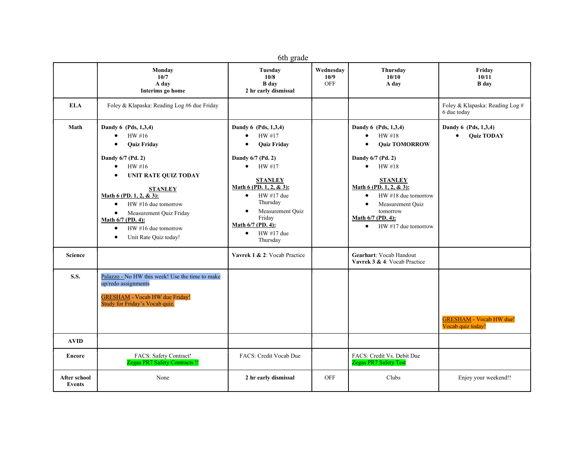| 6th grade                            |                                                                                                                                                                                                                                                                                                                                                                                        |                                                                                                                                                                                                                                                                                                          |                          |                                                                                                                                                                                                                                                                                                                        |                                                        |  |  |  |
|--------------------------------------|----------------------------------------------------------------------------------------------------------------------------------------------------------------------------------------------------------------------------------------------------------------------------------------------------------------------------------------------------------------------------------------|----------------------------------------------------------------------------------------------------------------------------------------------------------------------------------------------------------------------------------------------------------------------------------------------------------|--------------------------|------------------------------------------------------------------------------------------------------------------------------------------------------------------------------------------------------------------------------------------------------------------------------------------------------------------------|--------------------------------------------------------|--|--|--|
|                                      | Monday<br>10/7<br>A day<br>Interims go home                                                                                                                                                                                                                                                                                                                                            | Tuesday<br>10/8<br><b>B</b> day<br>2 hr early dismissal                                                                                                                                                                                                                                                  | Wednesday<br>10/9<br>OFF | Thursdav<br>10/10<br>A day                                                                                                                                                                                                                                                                                             | Fridav<br>10/11<br><b>B</b> day                        |  |  |  |
| <b>ELA</b>                           | Foley & Klapaska: Reading Log #6 due Friday                                                                                                                                                                                                                                                                                                                                            |                                                                                                                                                                                                                                                                                                          |                          |                                                                                                                                                                                                                                                                                                                        | Foley & Klapaska: Reading Log #<br>6 due today         |  |  |  |
| Math                                 | Dandy 6 (Pds, 1,3,4)<br>HW#16<br>$\bullet$<br><b>Quiz Friday</b><br>$\bullet$<br>Dandy 6/7 (Pd. 2)<br>HW#16<br>$\bullet$<br><b>UNIT RATE QUIZ TODAY</b><br>$\bullet$<br><b>STANLEY</b><br>Math 6 (PD. 1, 2, & 3):<br>$HW$ #16 due tomorrow<br>$\bullet$<br>Measurement Quiz Friday<br>$\bullet$<br>Math 6/7 (PD. 4):<br>HW #16 due tomorrow<br>$\bullet$<br>Unit Rate Quiz today!<br>٠ | Dandy 6 (Pds, 1,3,4)<br>HW #17<br>$\bullet$<br><b>Quiz Friday</b><br>$\bullet$<br>Dandy 6/7 (Pd. 2)<br>HW #17<br>$\bullet$<br><b>STANLEY</b><br>Math 6 (PD. 1, 2, & 3):<br>HW #17 due<br>$\bullet$<br>Thursday<br>Measurement Quiz<br>Friday<br>Math 6/7 (PD. 4):<br>HW #17 due<br>$\bullet$<br>Thursday |                          | Dandy 6 (Pds, 1,3,4)<br>HW #18<br>$\bullet$<br><b>Quiz TOMORROW</b><br>$\bullet$<br>Dandy 6/7 (Pd. 2)<br>HW#18<br>$\bullet$<br><b>STANLEY</b><br>Math 6 (PD. 1, 2, & 3):<br>$HW$ #18 due tomorrow<br>$\bullet$<br>Measurement Ouiz<br>$\bullet$<br>tomorrow<br>Math 6/7 (PD. 4):<br>$HW #17$ due tomorrow<br>$\bullet$ | Dandy 6 (Pds, 1,3,4)<br><b>Ouiz TODAY</b><br>$\bullet$ |  |  |  |
| <b>Science</b>                       |                                                                                                                                                                                                                                                                                                                                                                                        | Vavrek 1 & 2: Vocab Practice                                                                                                                                                                                                                                                                             |                          | Gearhart: Vocab Handout<br>Vavrek 3 & 4: Vocab Practice                                                                                                                                                                                                                                                                |                                                        |  |  |  |
| <b>S.S.</b>                          | Palazzo - No HW this week! Use the time to make<br>up/redo assignments<br><b>GRESHAM</b> - Vocab HW due Friday!<br>Study for Friday's Vocab quiz.                                                                                                                                                                                                                                      |                                                                                                                                                                                                                                                                                                          |                          |                                                                                                                                                                                                                                                                                                                        | <b>GRESHAM - Vocab HW due!</b><br>Vocab quiz today!    |  |  |  |
| <b>AVID</b>                          |                                                                                                                                                                                                                                                                                                                                                                                        |                                                                                                                                                                                                                                                                                                          |                          |                                                                                                                                                                                                                                                                                                                        |                                                        |  |  |  |
| Encore                               | FACS: Safety Contract!<br><b>Zegas PR7 Safety Contracts!!</b>                                                                                                                                                                                                                                                                                                                          | FACS: Credit Vocab Due                                                                                                                                                                                                                                                                                   |                          | FACS: Credit Vs. Debit Due<br><b>Zegas PR7 Safety Test</b>                                                                                                                                                                                                                                                             |                                                        |  |  |  |
| <b>After school</b><br><b>Events</b> | None                                                                                                                                                                                                                                                                                                                                                                                   | 2 hr early dismissal                                                                                                                                                                                                                                                                                     | <b>OFF</b>               | Clubs                                                                                                                                                                                                                                                                                                                  | Enjoy your weekend!!                                   |  |  |  |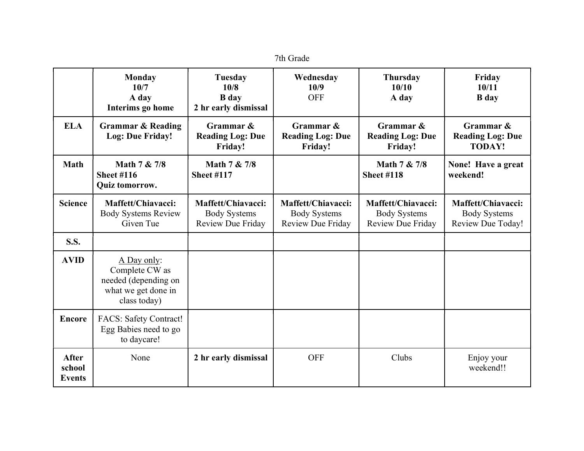| 7th Grade                               |                                                                                              |                                                                |                                                                       |                                                                |                                                                |  |  |  |
|-----------------------------------------|----------------------------------------------------------------------------------------------|----------------------------------------------------------------|-----------------------------------------------------------------------|----------------------------------------------------------------|----------------------------------------------------------------|--|--|--|
|                                         | <b>Monday</b><br>10/7<br>A day<br>Interims go home                                           | <b>Tuesday</b><br>10/8<br><b>B</b> day<br>2 hr early dismissal | Wednesday<br>10/9<br><b>OFF</b>                                       | <b>Thursday</b><br>10/10<br>A day                              | Friday<br>10/11<br><b>B</b> day                                |  |  |  |
| <b>ELA</b>                              | <b>Grammar &amp; Reading</b><br>Log: Due Friday!                                             | Grammar &<br><b>Reading Log: Due</b><br>Friday!                | Grammar &<br><b>Reading Log: Due</b><br>Friday!                       | Grammar &<br><b>Reading Log: Due</b><br>Friday!                | Grammar &<br><b>Reading Log: Due</b><br><b>TODAY!</b>          |  |  |  |
| <b>Math</b>                             | Math 7 & 7/8<br><b>Sheet #116</b><br><b>Quiz tomorrow.</b>                                   | Math 7 & 7/8<br><b>Sheet #117</b>                              |                                                                       | Math 7 & 7/8<br><b>Sheet #118</b>                              | None! Have a great<br>weekend!                                 |  |  |  |
| <b>Science</b>                          | Maffett/Chiavacci:<br><b>Body Systems Review</b><br>Given Tue                                | Maffett/Chiavacci:<br><b>Body Systems</b><br>Review Due Friday | Maffett/Chiavacci:<br><b>Body Systems</b><br><b>Review Due Friday</b> | Maffett/Chiavacci:<br><b>Body Systems</b><br>Review Due Friday | Maffett/Chiavacci:<br><b>Body Systems</b><br>Review Due Today! |  |  |  |
| <b>S.S.</b>                             |                                                                                              |                                                                |                                                                       |                                                                |                                                                |  |  |  |
| <b>AVID</b>                             | A Day only:<br>Complete CW as<br>needed (depending on<br>what we get done in<br>class today) |                                                                |                                                                       |                                                                |                                                                |  |  |  |
| <b>Encore</b>                           | FACS: Safety Contract!<br>Egg Babies need to go<br>to daycare!                               |                                                                |                                                                       |                                                                |                                                                |  |  |  |
| <b>After</b><br>school<br><b>Events</b> | None                                                                                         | 2 hr early dismissal                                           | <b>OFF</b>                                                            | Clubs                                                          | Enjoy your<br>weekend!!                                        |  |  |  |